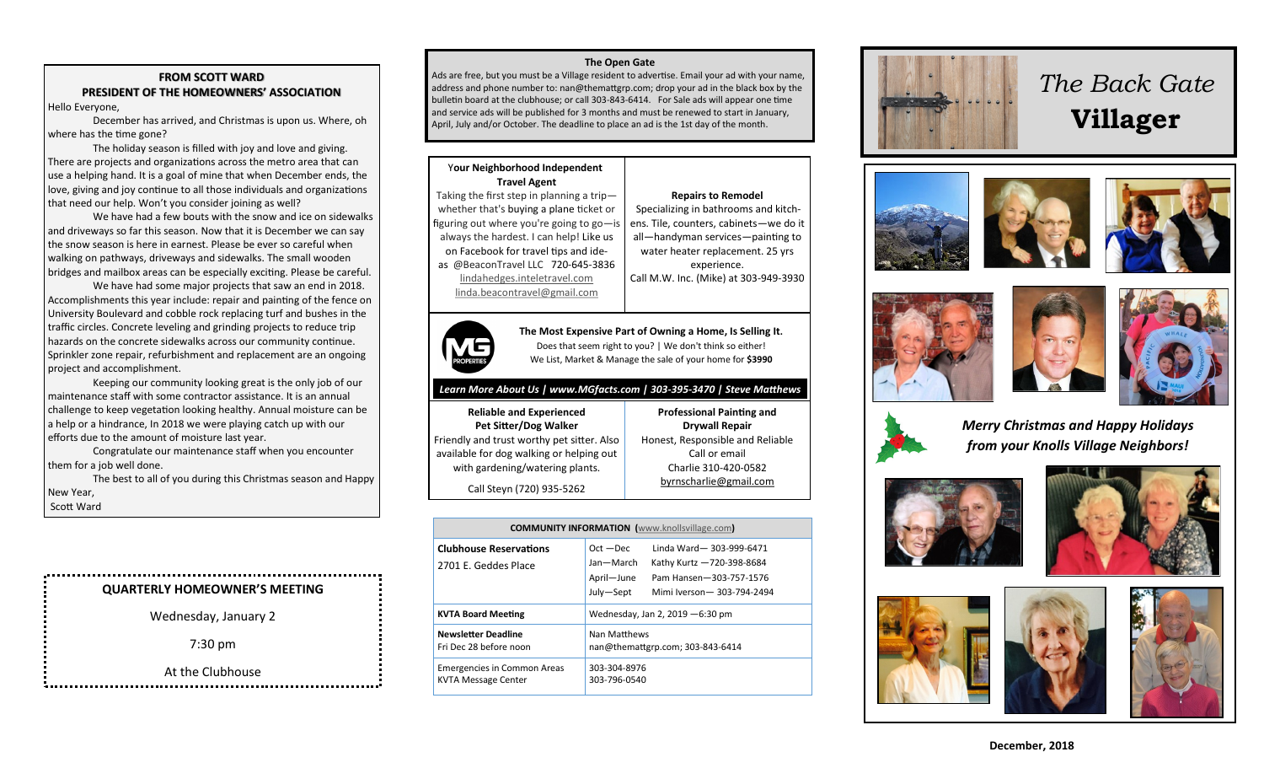### **FROM SCOTT WARD PRESIDENT OF THE HOMEOWNERS' ASSOCIATION** Hello Everyone,

December has arrived, and Christmas is upon us. Where, oh where has the time gone?

The holiday season is filled with joy and love and giving. There are projects and organizations across the metro area that can use a helping hand. It is a goal of mine that when December ends, the love, giving and joy continue to all those individuals and organizations that need our help. Won't you consider joining as well?

We have had a few bouts with the snow and ice on sidewalks and driveways so far this season. Now that it is December we can say the snow season is here in earnest. Please be ever so careful when walking on pathways, driveways and sidewalks. The small wooden bridges and mailbox areas can be especially exciting. Please be careful.

We have had some major projects that saw an end in 2018. Accomplishments this year include: repair and painting of the fence on University Boulevard and cobble rock replacing turf and bushes in the traffic circles. Concrete leveling and grinding projects to reduce trip hazards on the concrete sidewalks across our community continue. Sprinkler zone repair, refurbishment and replacement are an ongoing project and accomplishment.

Keeping our community looking great is the only job of our maintenance staff with some contractor assistance. It is an annual challenge to keep vegetation looking healthy. Annual moisture can be a help or a hindrance, In 2018 we were playing catch up with our efforts due to the amount of moisture last year.

Congratulate our maintenance staff when you encounter them for a job well done.

The best to all of you during this Christmas season and Happy New Year, Scott Ward

## **QUARTERLY HOMEOWNER'S MEETING** Wednesday, January 2 7:30 pm At the Clubhouse

### **The Open Gate**

Ads are free, but you must be a Village resident to advertise. Email your ad with your name, address and phone number to: nan@themattgrp.com; drop your ad in the black box by the bulletin board at the clubhouse; or call 303-843-6414. For Sale ads will appear one time and service ads will be published for 3 months and must be renewed to start in January, April, July and/or October. The deadline to place an ad is the 1st day of the month.

#### Y**our Neighborhood Independent Travel Agent**

Taking the first step in planning a trip whether that's buying a plane ticket or figuring out where you're going to go—is always the hardest. I can help! Like us on Facebook for travel tips and ideas @BeaconTravel LLC 720-645-3836

Specializing in bathrooms and kitchens. Tile, counters, cabinets—we do it all—handyman services—painting to water heater replacement. 25 yrs

**Repairs to Remodel**

experience.

[lindahedges.inteletravel.com](http://lindahedges.inteletravel.com) [linda.beacontravel@gmail.com](mailto:linda.beacontravel@gmail.com) Call M.W. Inc. (Mike) at 303-949-3930



**The Most Expensive Part of Owning a Home, Is Selling It.** Does that seem right to you? | We don't think so either! We List, Market & Manage the sale of your home for **\$3990**

### *Learn More About Us | www.MGfacts.com | 303-395-3470 | Steve Matthews*

**Reliable and Experienced Pet Sitter/Dog Walker** Friendly and trust worthy pet sitter. Also available for dog walking or helping out with gardening/watering plants.

**Professional Painting and Drywall Repair** Honest, Responsible and Reliable Call or email Charlie 310-420-0582 [byrnscharlie@gmail.com](mailto:byrnscharlie@gmail.com)

Call Steyn (720) 935-5262

| <b>COMMUNITY INFORMATION</b> (www.knollsvillage.com)             |                                                                                                                                                                       |
|------------------------------------------------------------------|-----------------------------------------------------------------------------------------------------------------------------------------------------------------------|
| <b>Clubhouse Reservations</b><br>2701 E. Geddes Place            | Linda Ward-303-999-6471<br>$Oct - Dec$<br>Jan-March<br>Kathy Kurtz -720-398-8684<br>April-June<br>Pam Hansen-303-757-1576<br>July-Sept<br>Mimi Iverson - 303-794-2494 |
| <b>KVTA Board Meeting</b>                                        | Wednesday, Jan 2, 2019 - 6:30 pm                                                                                                                                      |
| <b>Newsletter Deadline</b><br>Fri Dec 28 before noon             | Nan Matthews<br>nan@themattgrp.com; 303-843-6414                                                                                                                      |
| <b>Emergencies in Common Areas</b><br><b>KVTA Message Center</b> | 303-304-8976<br>303-796-0540                                                                                                                                          |



# *The Back Gate*  **Villager**











*Merry Christmas and Happy Holidays from your Knolls Village Neighbors!*